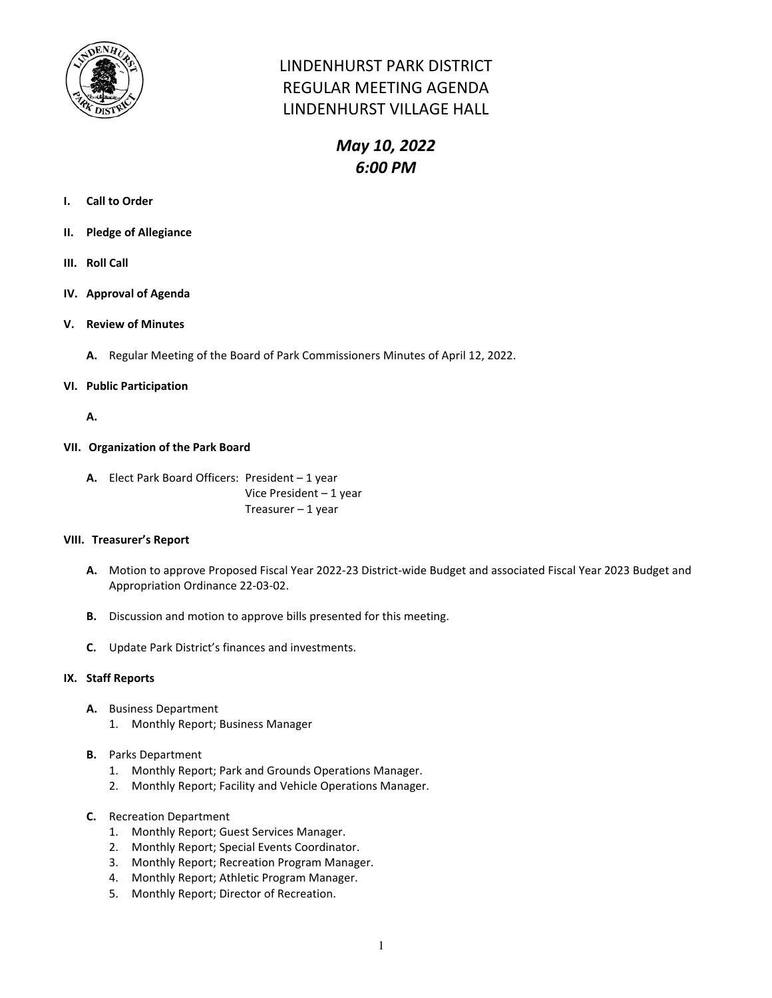

## LINDENHURST PARK DISTRICT REGULAR MEETING AGENDA LINDENHURST VILLAGE HALL

# *May 10, 2022 6:00 PM*

- **I. Call to Order**
- **II. Pledge of Allegiance**
- **III. Roll Call**
- **IV. Approval of Agenda**
- **V. Review of Minutes**
	- **A.** Regular Meeting of the Board of Park Commissioners Minutes of April 12, 2022.

#### **VI. Public Participation**

**A.**

#### **VII. Organization of the Park Board**

**A.** Elect Park Board Officers: President – 1 year Vice President – 1 year Treasurer – 1 year

#### **VIII. Treasurer's Report**

- **A.** Motion to approve Proposed Fiscal Year 2022-23 District-wide Budget and associated Fiscal Year 2023 Budget and Appropriation Ordinance 22-03-02.
- **B.** Discussion and motion to approve bills presented for this meeting.
- **C.** Update Park District's finances and investments.

#### **IX. Staff Reports**

- **A.** Business Department
	- 1. Monthly Report; Business Manager
- **B.** Parks Department
	- 1. Monthly Report; Park and Grounds Operations Manager.
	- 2. Monthly Report; Facility and Vehicle Operations Manager.
- **C.** Recreation Department
	- 1. Monthly Report; Guest Services Manager.
	- 2. Monthly Report; Special Events Coordinator.
	- 3. Monthly Report; Recreation Program Manager.
	- 4. Monthly Report; Athletic Program Manager.
	- 5. Monthly Report; Director of Recreation.